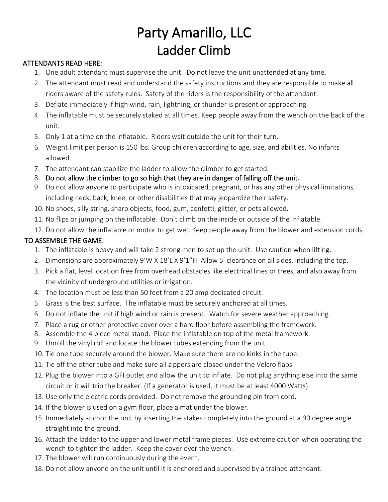## Party Amarillo, LLC Ladder Climb

## ATTENDANTS READ HERE:

- 1. One adult attendant must supervise the unit. Do not leave the unit unattended at any time.
- 2. The attendant must read and understand the safety instructions and they are responsible to make all riders aware of the safety rules. Safety of the riders is the responsibility of the attendant.
- 3. Deflate immediately if high wind, rain, lightning, or thunder is present or approaching.
- 4. The inflatable must be securely staked at all times. Keep people away from the wench on the back of the unit.
- 5. Only 1 at a time on the inflatable. Riders wait outside the unit for their turn.
- 6. Weight limit per person is 150 lbs. Group children according to age, size, and abilities. No infants allowed.
- 7. The attendant can stabilize the ladder to allow the climber to get started.
- 8. Do not allow the climber to go so high that they are in danger of falling off the unit.
- 9. Do not allow anyone to participate who is intoxicated, pregnant, or has any other physical limitations, including neck, back, knee, or other disabilities that may jeopardize their safety.
- 10. No shoes, silly string, sharp objects, food, gum, confetti, glitter, or pets allowed.
- 11. No flips or jumping on the inflatable. Don't climb on the inside or outside of the inflatable.
- 12. Do not allow the inflatable or motor to get wet. Keep people away from the blower and extension cords.

## TO ASSEMBLE THE GAME:

- 1. The inflatable is heavy and will take 2 strong men to set up the unit. Use caution when lifting.
- 2. Dimensions are approximately 9'W X 18'L X 9'1"H. Allow 5' clearance on all sides, including the top.
- 3. Pick a flat, level location free from overhead obstacles like electrical lines or trees, and also away from the vicinity of underground utilities or irrigation.
- 4. The location must be less than 50 feet from a 20 amp dedicated circuit.
- 5. Grass is the best surface. The inflatable must be securely anchored at all times.
- 6. Do not inflate the unit if high wind or rain is present. Watch for severe weather approaching.
- 7. Place a rug or other protective cover over a hard floor before assembling the framework.
- 8. Assemble the 4 piece metal stand. Place the inflatable on top of the metal framework.
- 9. Unroll the vinyl roll and locate the blower tubes extending from the unit.
- 10. Tie one tube securely around the blower. Make sure there are no kinks in the tube.
- 11. Tie off the other tube and make sure all zippers are closed under the Velcro flaps.
- 12. Plug the blower into a GFI outlet and allow the unit to inflate. Do not plug anything else into the same circuit or it will trip the breaker. (If a generator is used, it must be at least 4000 Watts)
- 13. Use only the electric cords provided. Do not remove the grounding pin from cord.
- 14. If the blower is used on a gym floor, place a mat under the blower.
- 15. Immediately anchor the unit by inserting the stakes completely into the ground at a 90 degree angle straight into the ground.
- 16. Attach the ladder to the upper and lower metal frame pieces. Use extreme caution when operating the wench to tighten the ladder. Keep the cover over the wench.
- 17. The blower will run continuously during the event.
- 18. Do not allow anyone on the unit until it is anchored and supervised by a trained attendant.